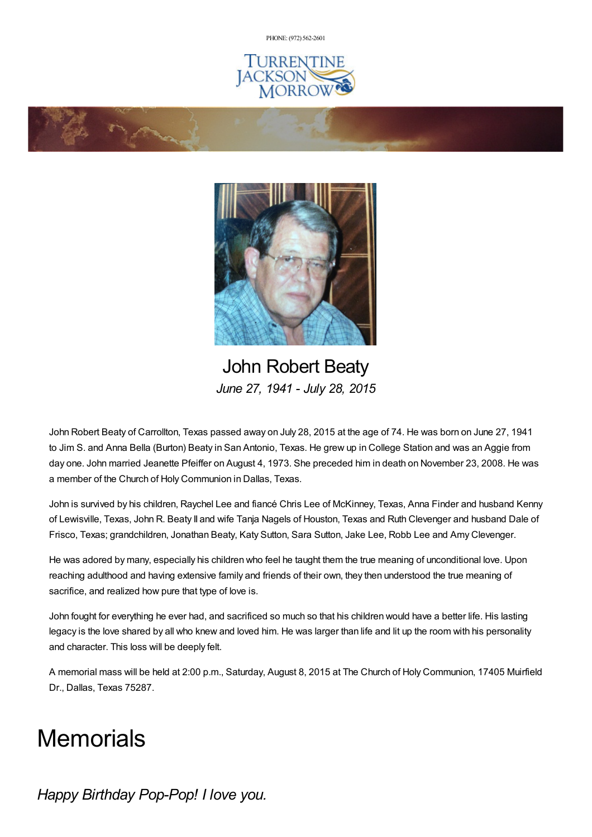PHONE: (972) [562-2601](tel:(972) 562-2601)







John Robert Beaty *June 27, 1941 - July 28, 2015*

John Robert Beaty of Carrollton, Texas passed away on July 28, 2015 at the age of 74. He was born on June 27, 1941 to Jim S. and Anna Bella (Burton) Beaty in San Antonio, Texas. He grew up in College Station and was an Aggie from day one. John married Jeanette Pfeiffer on August 4, 1973. She preceded him in death on November 23, 2008. He was a member of the Church of Holy Communion in Dallas, Texas.

John is survived by his children, Raychel Lee and fiancé Chris Lee of McKinney, Texas, Anna Finder and husband Kenny of Lewisville, Texas, John R. Beaty II and wife Tanja Nagels of Houston, Texas and Ruth Clevenger and husband Dale of Frisco, Texas; grandchildren, Jonathan Beaty, Katy Sutton, Sara Sutton, Jake Lee, Robb Lee and Amy Clevenger.

He was adored by many, especially his children who feel he taught them the true meaning of unconditional love. Upon reaching adulthood and having extensive family and friends of their own, they then understood the true meaning of sacrifice, and realized how pure that type of love is.

John fought for everything he ever had, and sacrificed so much so that his children would have a better life. His lasting legacy is the love shared by all who knew and loved him. He was larger than life and lit up the room with his personality and character. This loss will be deeply felt.

A memorial mass will be held at 2:00 p.m., Saturday, August 8, 2015 at The Church of Holy Communion, 17405 Muirfield Dr., Dallas, Texas 75287.

## **Memorials**

*Happy Birthday Pop-Pop! I love you.*